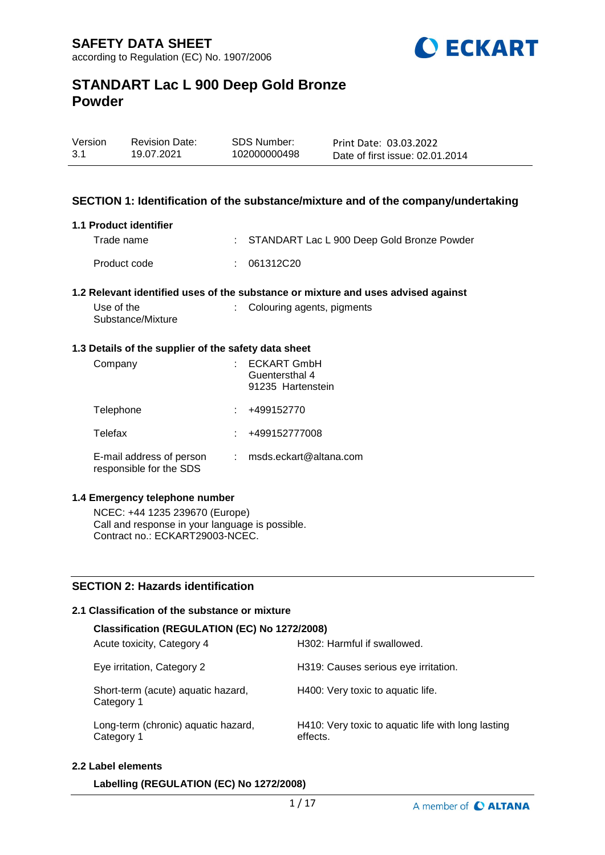

| Version | <b>Revision Date:</b> | SDS Number:  | Print Date: 03.03.2022          |
|---------|-----------------------|--------------|---------------------------------|
| 3.1     | 19.07.2021            | 102000000498 | Date of first issue: 02.01.2014 |

#### **SECTION 1: Identification of the substance/mixture and of the company/undertaking**

#### **1.1 Product identifier**

| Trade name   | : STANDART Lac L 900 Deep Gold Bronze Powder |
|--------------|----------------------------------------------|
| Product code | : 061312C20                                  |

#### **1.2 Relevant identified uses of the substance or mixture and uses advised against**

| Use of the        | : Colouring agents, pigments |
|-------------------|------------------------------|
| Substance/Mixture |                              |

#### **1.3 Details of the supplier of the safety data sheet**

| Company                                             | <b>ECKART GmbH</b><br>Guentersthal 4<br>91235 Hartenstein |
|-----------------------------------------------------|-----------------------------------------------------------|
| Telephone                                           | +499152770                                                |
| Telefax                                             | +499152777008                                             |
| E-mail address of person<br>responsible for the SDS | msds.eckart@altana.com                                    |

#### **1.4 Emergency telephone number**

NCEC: +44 1235 239670 (Europe) Call and response in your language is possible. Contract no.: ECKART29003-NCEC.

### **SECTION 2: Hazards identification**

#### **2.1 Classification of the substance or mixture**

| Classification (REGULATION (EC) No 1272/2008)     |                                                                |  |  |  |  |
|---------------------------------------------------|----------------------------------------------------------------|--|--|--|--|
| Acute toxicity, Category 4                        | H302: Harmful if swallowed.                                    |  |  |  |  |
| Eye irritation, Category 2                        | H319: Causes serious eye irritation.                           |  |  |  |  |
| Short-term (acute) aquatic hazard,<br>Category 1  | H400: Very toxic to aquatic life.                              |  |  |  |  |
| Long-term (chronic) aquatic hazard,<br>Category 1 | H410: Very toxic to aquatic life with long lasting<br>effects. |  |  |  |  |

#### **2.2 Label elements**

**Labelling (REGULATION (EC) No 1272/2008)**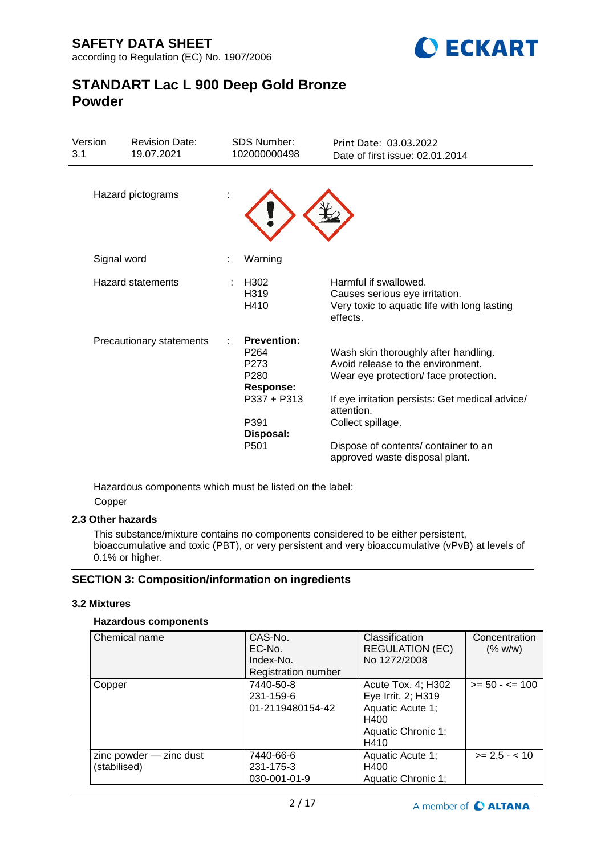

| Version<br>3.1 | <b>Revision Date:</b><br>19.07.2021 | <b>SDS Number:</b><br>102000000498                                                                      | Print Date: 03.03.2022<br>Date of first issue: 02.01.2014                                                                                                            |
|----------------|-------------------------------------|---------------------------------------------------------------------------------------------------------|----------------------------------------------------------------------------------------------------------------------------------------------------------------------|
|                | Hazard pictograms                   |                                                                                                         |                                                                                                                                                                      |
| Signal word    |                                     | Warning                                                                                                 |                                                                                                                                                                      |
|                | Hazard statements                   | H <sub>302</sub><br>H319<br>H410                                                                        | Harmful if swallowed.<br>Causes serious eye irritation.<br>Very toxic to aquatic life with long lasting<br>effects.                                                  |
|                | Precautionary statements            | <b>Prevention:</b><br>P <sub>264</sub><br>P273<br>P <sub>280</sub><br><b>Response:</b><br>$P337 + P313$ | Wash skin thoroughly after handling.<br>Avoid release to the environment.<br>Wear eye protection/face protection.<br>If eye irritation persists: Get medical advice/ |
|                |                                     | P391<br>Disposal:                                                                                       | attention.<br>Collect spillage.                                                                                                                                      |
|                |                                     | P <sub>501</sub>                                                                                        | Dispose of contents/ container to an<br>approved waste disposal plant.                                                                                               |

Hazardous components which must be listed on the label: Copper

### **2.3 Other hazards**

This substance/mixture contains no components considered to be either persistent, bioaccumulative and toxic (PBT), or very persistent and very bioaccumulative (vPvB) at levels of 0.1% or higher.

## **SECTION 3: Composition/information on ingredients**

### **3.2 Mixtures**

### **Hazardous components**

| Chemical name           | CAS-No.<br>EC-No.<br>Index-No. | Classification<br><b>REGULATION (EC)</b><br>No 1272/2008 | Concentration<br>(% w/w) |
|-------------------------|--------------------------------|----------------------------------------------------------|--------------------------|
|                         | <b>Registration number</b>     |                                                          |                          |
| Copper                  | 7440-50-8                      | Acute Tox. 4; H302                                       | $>= 50 - 5 = 100$        |
|                         | 231-159-6                      | Eye Irrit. 2; H319                                       |                          |
|                         | 01-2119480154-42               | Aquatic Acute 1;                                         |                          |
|                         |                                | H400                                                     |                          |
|                         |                                | Aquatic Chronic 1;                                       |                          |
|                         |                                | H410                                                     |                          |
| zinc powder - zinc dust | 7440-66-6                      | Aquatic Acute 1;                                         | $>= 2.5 - < 10$          |
| (stabilised)            | 231-175-3                      | H400                                                     |                          |
|                         | 030-001-01-9                   | Aquatic Chronic 1;                                       |                          |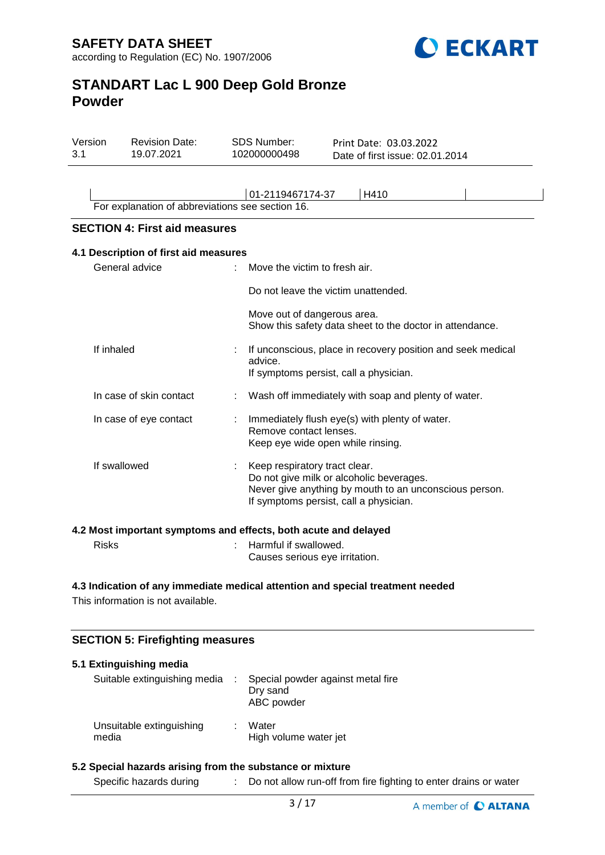

| Version<br>3.1 | <b>Revision Date:</b><br>19.07.2021                                                      | <b>SDS Number:</b><br>102000000498 | Print Date: 03.03.2022<br>Date of first issue: 02.01.2014                                                                                                                     |  |
|----------------|------------------------------------------------------------------------------------------|------------------------------------|-------------------------------------------------------------------------------------------------------------------------------------------------------------------------------|--|
|                |                                                                                          |                                    | 01-2119467174-37<br>H410                                                                                                                                                      |  |
|                | For explanation of abbreviations see section 16.<br><b>SECTION 4: First aid measures</b> |                                    |                                                                                                                                                                               |  |
|                | 4.1 Description of first aid measures                                                    |                                    |                                                                                                                                                                               |  |
|                | General advice                                                                           |                                    | Move the victim to fresh air.                                                                                                                                                 |  |
|                |                                                                                          |                                    | Do not leave the victim unattended.                                                                                                                                           |  |
|                |                                                                                          |                                    | Move out of dangerous area.<br>Show this safety data sheet to the doctor in attendance.                                                                                       |  |
| If inhaled     |                                                                                          | advice.                            | If unconscious, place in recovery position and seek medical<br>If symptoms persist, call a physician.                                                                         |  |
|                | In case of skin contact                                                                  |                                    | Wash off immediately with soap and plenty of water.                                                                                                                           |  |
|                | In case of eye contact                                                                   |                                    | Immediately flush eye(s) with plenty of water.<br>Remove contact lenses.<br>Keep eye wide open while rinsing.                                                                 |  |
|                | If swallowed                                                                             |                                    | Keep respiratory tract clear.<br>Do not give milk or alcoholic beverages.<br>Never give anything by mouth to an unconscious person.<br>If symptoms persist, call a physician. |  |
|                | 4.2 Most important symptoms and effects, both acute and delayed                          |                                    |                                                                                                                                                                               |  |

Causes serious eye irritation.

# **4.3 Indication of any immediate medical attention and special treatment needed**

Risks : Harmful if swallowed.

This information is not available.

### **SECTION 5: Firefighting measures**

| 5.1 Extinguishing media           |    |                                                             |
|-----------------------------------|----|-------------------------------------------------------------|
| Suitable extinguishing media      |    | Special powder against metal fire<br>Dry sand<br>ABC powder |
| Unsuitable extinguishing<br>media | ж. | Water<br>High volume water jet                              |

#### **5.2 Special hazards arising from the substance or mixture**

Specific hazards during : Do not allow run-off from fire fighting to enter drains or water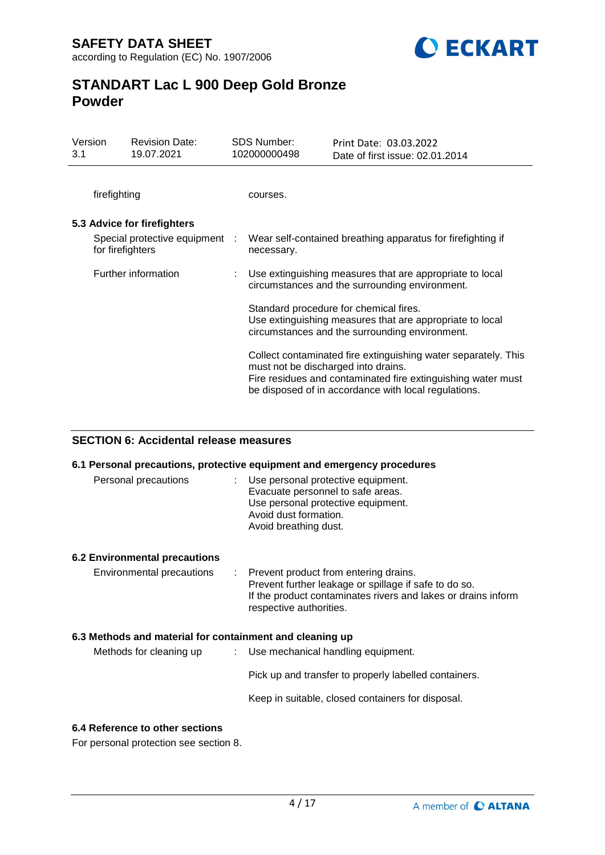

| Version<br>3.1 |                  | <b>Revision Date:</b><br>19.07.2021 | <b>SDS Number:</b><br>102000000498  | Print Date: 03.03.2022<br>Date of first issue: 02.01.2014                                                                                                                              |
|----------------|------------------|-------------------------------------|-------------------------------------|----------------------------------------------------------------------------------------------------------------------------------------------------------------------------------------|
|                | firefighting     |                                     | courses.                            |                                                                                                                                                                                        |
|                |                  | 5.3 Advice for firefighters         |                                     |                                                                                                                                                                                        |
|                | for firefighters | Special protective equipment :      | necessary.                          | Wear self-contained breathing apparatus for firefighting if                                                                                                                            |
|                |                  | Further information                 |                                     | : Use extinguishing measures that are appropriate to local<br>circumstances and the surrounding environment.                                                                           |
|                |                  |                                     |                                     | Standard procedure for chemical fires.<br>Use extinguishing measures that are appropriate to local<br>circumstances and the surrounding environment.                                   |
|                |                  |                                     | must not be discharged into drains. | Collect contaminated fire extinguishing water separately. This<br>Fire residues and contaminated fire extinguishing water must<br>be disposed of in accordance with local regulations. |

### **SECTION 6: Accidental release measures**

|                                                          | 6.1 Personal precautions, protective equipment and emergency procedures                                                                                                                      |
|----------------------------------------------------------|----------------------------------------------------------------------------------------------------------------------------------------------------------------------------------------------|
| Personal precautions                                     | : Use personal protective equipment.<br>Evacuate personnel to safe areas.<br>Use personal protective equipment.<br>Avoid dust formation.<br>Avoid breathing dust.                            |
| 6.2 Environmental precautions                            |                                                                                                                                                                                              |
| Environmental precautions                                | : Prevent product from entering drains.<br>Prevent further leakage or spillage if safe to do so.<br>If the product contaminates rivers and lakes or drains inform<br>respective authorities. |
| 6.3 Methods and material for containment and cleaning up |                                                                                                                                                                                              |
| Methods for cleaning up                                  | : Use mechanical handling equipment.                                                                                                                                                         |
|                                                          | Pick up and transfer to properly labelled containers.                                                                                                                                        |
|                                                          | Keep in suitable, closed containers for disposal.                                                                                                                                            |
| 6.4 Reference to other sections                          |                                                                                                                                                                                              |

For personal protection see section 8.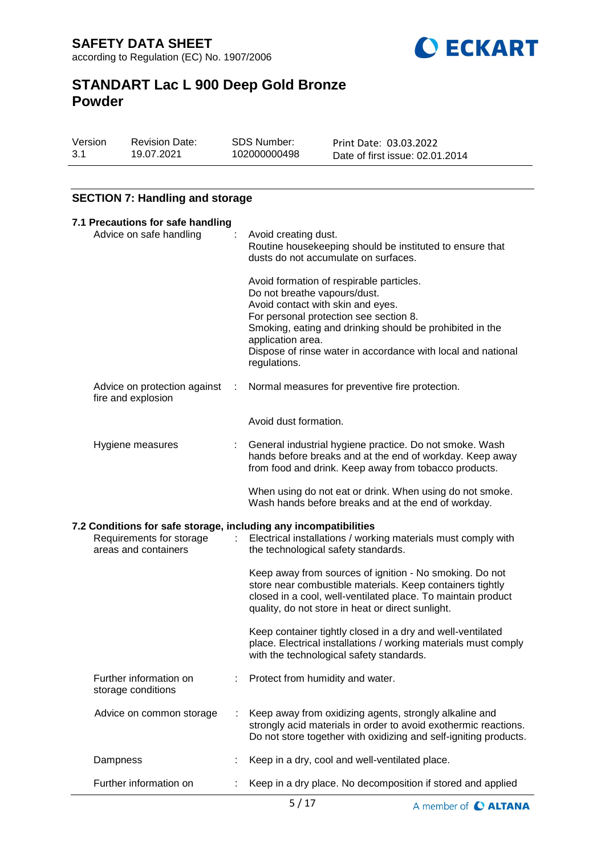

| Version | <b>Revision Date:</b> | SDS Number:  | Print Date: 03.03.2022          |
|---------|-----------------------|--------------|---------------------------------|
| 3.1     | 19.07.2021            | 102000000498 | Date of first issue: 02.01.2014 |

## **SECTION 7: Handling and storage**

| 7.1 Precautions for safe handling                                                                                    |   |                                                                                                                                                                                                                                                                                                                          |
|----------------------------------------------------------------------------------------------------------------------|---|--------------------------------------------------------------------------------------------------------------------------------------------------------------------------------------------------------------------------------------------------------------------------------------------------------------------------|
| Advice on safe handling                                                                                              |   | Avoid creating dust.<br>Routine housekeeping should be instituted to ensure that<br>dusts do not accumulate on surfaces.                                                                                                                                                                                                 |
|                                                                                                                      |   | Avoid formation of respirable particles.<br>Do not breathe vapours/dust.<br>Avoid contact with skin and eyes.<br>For personal protection see section 8.<br>Smoking, eating and drinking should be prohibited in the<br>application area.<br>Dispose of rinse water in accordance with local and national<br>regulations. |
| Advice on protection against<br>fire and explosion                                                                   | ÷ | Normal measures for preventive fire protection.                                                                                                                                                                                                                                                                          |
|                                                                                                                      |   | Avoid dust formation.                                                                                                                                                                                                                                                                                                    |
| Hygiene measures                                                                                                     |   | General industrial hygiene practice. Do not smoke. Wash<br>hands before breaks and at the end of workday. Keep away<br>from food and drink. Keep away from tobacco products.                                                                                                                                             |
|                                                                                                                      |   | When using do not eat or drink. When using do not smoke.<br>Wash hands before breaks and at the end of workday.                                                                                                                                                                                                          |
| 7.2 Conditions for safe storage, including any incompatibilities<br>Requirements for storage<br>areas and containers | ÷ | Electrical installations / working materials must comply with<br>the technological safety standards.                                                                                                                                                                                                                     |
|                                                                                                                      |   | Keep away from sources of ignition - No smoking. Do not<br>store near combustible materials. Keep containers tightly<br>closed in a cool, well-ventilated place. To maintain product<br>quality, do not store in heat or direct sunlight.                                                                                |
|                                                                                                                      |   | Keep container tightly closed in a dry and well-ventilated<br>place. Electrical installations / working materials must comply<br>with the technological safety standards.                                                                                                                                                |
| Further information on<br>storage conditions                                                                         |   | Protect from humidity and water.                                                                                                                                                                                                                                                                                         |
| Advice on common storage                                                                                             |   | Keep away from oxidizing agents, strongly alkaline and<br>strongly acid materials in order to avoid exothermic reactions.<br>Do not store together with oxidizing and self-igniting products.                                                                                                                            |
| Dampness                                                                                                             |   | Keep in a dry, cool and well-ventilated place.                                                                                                                                                                                                                                                                           |
| Further information on                                                                                               |   | Keep in a dry place. No decomposition if stored and applied                                                                                                                                                                                                                                                              |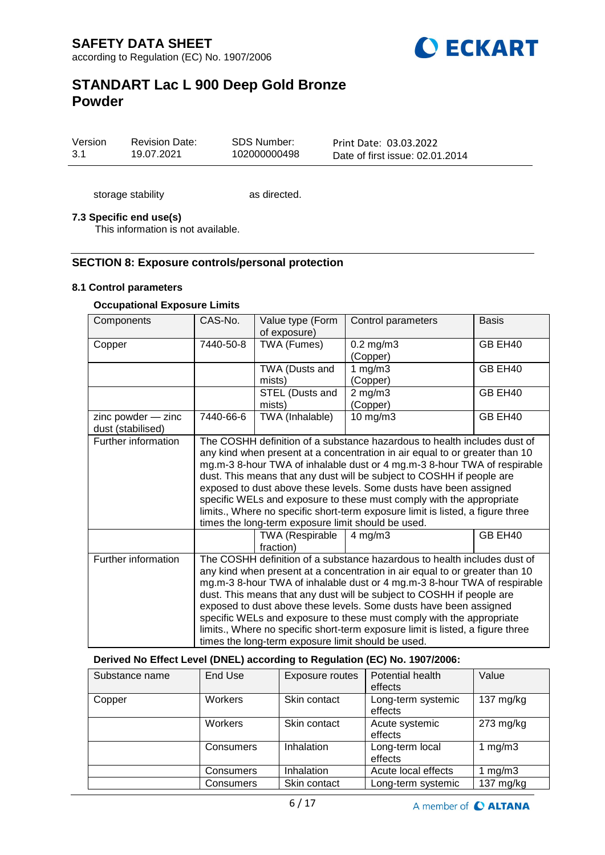

| Version | <b>Revision Date:</b> | SDS Number:  |
|---------|-----------------------|--------------|
| -3.1    | 19.07.2021            | 102000000498 |

Print Date: 03.03.2022 Date of first issue: 02.01.2014

storage stability as directed.

#### **7.3 Specific end use(s)**

This information is not available.

#### **SECTION 8: Exposure controls/personal protection**

#### **8.1 Control parameters**

### **Occupational Exposure Limits**

| Components             | CAS-No.                                                                        | Value type (Form<br>of exposure) | Control parameters                                                             | <b>Basis</b> |  |  |  |
|------------------------|--------------------------------------------------------------------------------|----------------------------------|--------------------------------------------------------------------------------|--------------|--|--|--|
| Copper                 | 7440-50-8                                                                      | TWA (Fumes)                      | $0.2$ mg/m $3$                                                                 | GB EH40      |  |  |  |
|                        |                                                                                |                                  | (Copper)                                                                       |              |  |  |  |
|                        |                                                                                | TWA (Dusts and                   | 1 $mg/m3$                                                                      | GB EH40      |  |  |  |
|                        |                                                                                | mists)                           | (Copper)                                                                       |              |  |  |  |
|                        |                                                                                | STEL (Dusts and                  | $2$ mg/m $3$                                                                   | GB EH40      |  |  |  |
|                        |                                                                                | mists)                           | (Copper)                                                                       |              |  |  |  |
| $zinc$ powder $-$ zinc | 7440-66-6                                                                      | TWA (Inhalable)                  | $10$ mg/m $3$                                                                  | GB EH40      |  |  |  |
| dust (stabilised)      |                                                                                |                                  |                                                                                |              |  |  |  |
| Further information    |                                                                                |                                  | The COSHH definition of a substance hazardous to health includes dust of       |              |  |  |  |
|                        |                                                                                |                                  | any kind when present at a concentration in air equal to or greater than 10    |              |  |  |  |
|                        |                                                                                |                                  | mg.m-3 8-hour TWA of inhalable dust or 4 mg.m-3 8-hour TWA of respirable       |              |  |  |  |
|                        |                                                                                |                                  | dust. This means that any dust will be subject to COSHH if people are          |              |  |  |  |
|                        | exposed to dust above these levels. Some dusts have been assigned              |                                  |                                                                                |              |  |  |  |
|                        | specific WELs and exposure to these must comply with the appropriate           |                                  |                                                                                |              |  |  |  |
|                        | limits., Where no specific short-term exposure limit is listed, a figure three |                                  |                                                                                |              |  |  |  |
|                        | times the long-term exposure limit should be used.                             |                                  |                                                                                |              |  |  |  |
|                        |                                                                                | <b>TWA (Respirable</b>           | $4$ mg/m $3$                                                                   | GB EH40      |  |  |  |
|                        |                                                                                | fraction)                        |                                                                                |              |  |  |  |
| Further information    | The COSHH definition of a substance hazardous to health includes dust of       |                                  |                                                                                |              |  |  |  |
|                        |                                                                                |                                  | any kind when present at a concentration in air equal to or greater than 10    |              |  |  |  |
|                        | mg.m-3 8-hour TWA of inhalable dust or 4 mg.m-3 8-hour TWA of respirable       |                                  |                                                                                |              |  |  |  |
|                        |                                                                                |                                  | dust. This means that any dust will be subject to COSHH if people are          |              |  |  |  |
|                        |                                                                                |                                  | exposed to dust above these levels. Some dusts have been assigned              |              |  |  |  |
|                        |                                                                                |                                  | specific WELs and exposure to these must comply with the appropriate           |              |  |  |  |
|                        |                                                                                |                                  | limits., Where no specific short-term exposure limit is listed, a figure three |              |  |  |  |
|                        | times the long-term exposure limit should be used.                             |                                  |                                                                                |              |  |  |  |

#### **Derived No Effect Level (DNEL) according to Regulation (EC) No. 1907/2006:**

| Substance name | End Use   | Exposure routes | Potential health<br>effects   | Value       |
|----------------|-----------|-----------------|-------------------------------|-------------|
| Copper         | Workers   | Skin contact    | Long-term systemic<br>effects | 137 $mg/kg$ |
|                | Workers   | Skin contact    | Acute systemic<br>effects     | $273$ mg/kg |
|                | Consumers | Inhalation      | Long-term local<br>effects    | mg/m3       |
|                | Consumers | Inhalation      | Acute local effects           | mg/m3       |
|                | Consumers | Skin contact    | Long-term systemic            | $137$ mg/kg |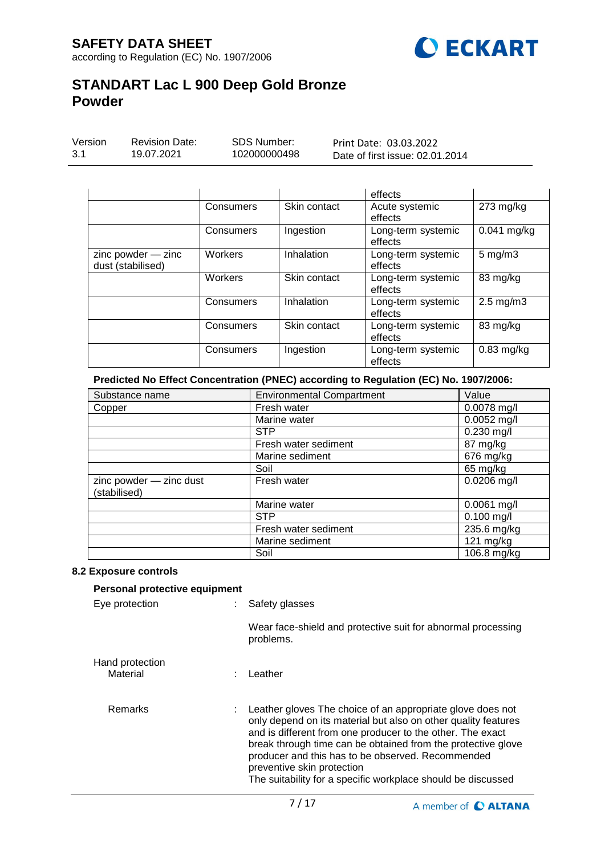

| Version | <b>Revision Date:</b> | SDS Number:  | Print Date: 03.03.2022          |
|---------|-----------------------|--------------|---------------------------------|
| 3.1     | 19.07.2021            | 102000000498 | Date of first issue: 02.01.2014 |

|                                             |           |              | effects                       |                      |
|---------------------------------------------|-----------|--------------|-------------------------------|----------------------|
|                                             | Consumers | Skin contact | Acute systemic<br>effects     | $273$ mg/kg          |
|                                             | Consumers | Ingestion    | Long-term systemic<br>effects | 0.041 mg/kg          |
| $zinc$ powder $-$ zinc<br>dust (stabilised) | Workers   | Inhalation   | Long-term systemic<br>effects | $5 \text{ mg/m}$ 3   |
|                                             | Workers   | Skin contact | Long-term systemic<br>effects | 83 mg/kg             |
|                                             | Consumers | Inhalation   | Long-term systemic<br>effects | $2.5 \text{ mg/m}$ 3 |
|                                             | Consumers | Skin contact | Long-term systemic<br>effects | 83 mg/kg             |
|                                             | Consumers | Ingestion    | Long-term systemic<br>effects | $0.83$ mg/kg         |

**Predicted No Effect Concentration (PNEC) according to Regulation (EC) No. 1907/2006:**

| Substance name                          | <b>Environmental Compartment</b><br>Value |               |
|-----------------------------------------|-------------------------------------------|---------------|
| Copper                                  | Fresh water                               | 0.0078 mg/l   |
|                                         | Marine water                              | $0.0052$ mg/l |
|                                         | <b>STP</b>                                | $0.230$ mg/l  |
|                                         | Fresh water sediment                      | 87 mg/kg      |
|                                         | Marine sediment                           | 676 mg/kg     |
|                                         | Soil                                      | 65 mg/kg      |
| zinc powder - zinc dust<br>(stabilised) | Fresh water                               | $0.0206$ mg/l |
|                                         | Marine water                              | $0.0061$ mg/l |
|                                         | <b>STP</b>                                | $0.100$ mg/l  |
|                                         | Fresh water sediment                      | 235.6 mg/kg   |
|                                         | Marine sediment                           | 121 mg/kg     |
|                                         | Soil                                      | 106.8 mg/kg   |

#### **8.2 Exposure controls**

| Personal protective equipment |  |                                                                                                                                                                                                                                                                                                                                                                                                                 |  |  |
|-------------------------------|--|-----------------------------------------------------------------------------------------------------------------------------------------------------------------------------------------------------------------------------------------------------------------------------------------------------------------------------------------------------------------------------------------------------------------|--|--|
| Eye protection                |  | Safety glasses                                                                                                                                                                                                                                                                                                                                                                                                  |  |  |
|                               |  | Wear face-shield and protective suit for abnormal processing<br>problems.                                                                                                                                                                                                                                                                                                                                       |  |  |
| Hand protection<br>Material   |  | ∶ Leather                                                                                                                                                                                                                                                                                                                                                                                                       |  |  |
| Remarks                       |  | : Leather gloves The choice of an appropriate glove does not<br>only depend on its material but also on other quality features<br>and is different from one producer to the other. The exact<br>break through time can be obtained from the protective glove<br>producer and this has to be observed. Recommended<br>preventive skin protection<br>The suitability for a specific workplace should be discussed |  |  |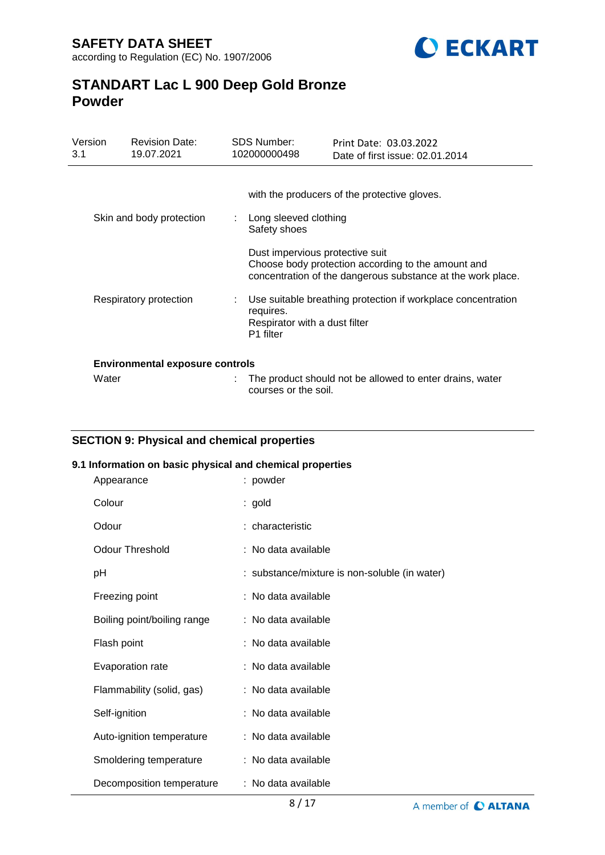

| Version<br>3.1 | <b>Revision Date:</b><br>19.07.2021    | <b>SDS Number:</b><br>102000000498 |                                                         | Print Date: 03.03.2022<br>Date of first issue: 02.01.2014                                                         |
|----------------|----------------------------------------|------------------------------------|---------------------------------------------------------|-------------------------------------------------------------------------------------------------------------------|
|                | Skin and body protection               |                                    | Long sleeved clothing                                   | with the producers of the protective gloves.                                                                      |
|                |                                        |                                    | Safety shoes<br>Dust impervious protective suit         | Choose body protection according to the amount and<br>concentration of the dangerous substance at the work place. |
|                | Respiratory protection                 |                                    | requires.<br>Respirator with a dust filter<br>P1 filter | Use suitable breathing protection if workplace concentration                                                      |
|                | <b>Environmental exposure controls</b> |                                    |                                                         |                                                                                                                   |
| Water          |                                        |                                    | courses or the soil.                                    | The product should not be allowed to enter drains, water                                                          |

## **SECTION 9: Physical and chemical properties**

### **9.1 Information on basic physical and chemical properties**

| Appearance                  | : powder                                      |
|-----------------------------|-----------------------------------------------|
| Colour                      | : gold                                        |
| Odour                       | : characteristic                              |
| <b>Odour Threshold</b>      | : No data available                           |
| рH                          | : substance/mixture is non-soluble (in water) |
| Freezing point              | : No data available                           |
| Boiling point/boiling range | : No data available                           |
| Flash point                 | : No data available                           |
| Evaporation rate            | : No data available                           |
| Flammability (solid, gas)   | : No data available                           |
| Self-ignition               | : No data available                           |
| Auto-ignition temperature   | : No data available                           |
| Smoldering temperature      | : No data available                           |
| Decomposition temperature   | : No data available                           |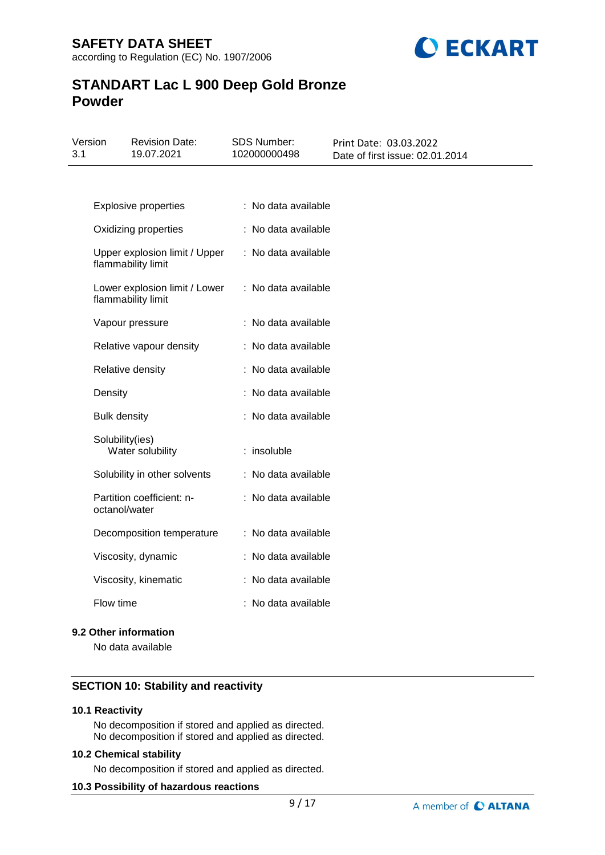

| 3.1 | Version             | <b>Revision Date:</b><br>19.07.2021                 | <b>SDS Number:</b><br>102000000498 | Print Date: 03.03.2022<br>Date of first issue: 02.01.2014 |
|-----|---------------------|-----------------------------------------------------|------------------------------------|-----------------------------------------------------------|
|     |                     |                                                     |                                    |                                                           |
|     |                     | <b>Explosive properties</b>                         | : No data available                |                                                           |
|     |                     | Oxidizing properties                                | : No data available                |                                                           |
|     |                     | Upper explosion limit / Upper<br>flammability limit | : No data available                |                                                           |
|     |                     | Lower explosion limit / Lower<br>flammability limit | : No data available                |                                                           |
|     |                     | Vapour pressure                                     | : No data available                |                                                           |
|     |                     | Relative vapour density                             | : No data available                |                                                           |
|     |                     | Relative density                                    | : No data available                |                                                           |
|     | Density             |                                                     | : No data available                |                                                           |
|     | <b>Bulk density</b> |                                                     | : No data available                |                                                           |
|     | Solubility(ies)     | Water solubility                                    | : insoluble                        |                                                           |
|     |                     | Solubility in other solvents                        | : No data available                |                                                           |
|     | octanol/water       | Partition coefficient: n-                           | : No data available                |                                                           |
|     |                     | Decomposition temperature                           | : No data available                |                                                           |
|     |                     | Viscosity, dynamic                                  | : No data available                |                                                           |
|     |                     | Viscosity, kinematic                                | : No data available                |                                                           |
|     | Flow time           |                                                     | : No data available                |                                                           |

#### **9.2 Other information**

No data available

### **SECTION 10: Stability and reactivity**

### **10.1 Reactivity**

No decomposition if stored and applied as directed. No decomposition if stored and applied as directed.

#### **10.2 Chemical stability**

No decomposition if stored and applied as directed.

### **10.3 Possibility of hazardous reactions**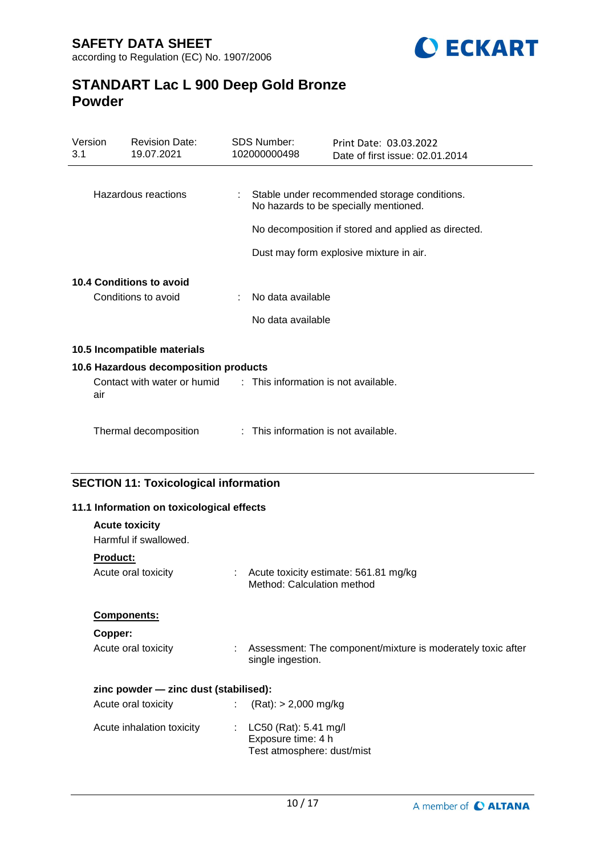

| Version<br>3.1 | <b>Revision Date:</b><br>19.07.2021                                                       |     | <b>SDS Number:</b><br>102000000498                                        | Print Date: 03.03.2022<br>Date of first issue: 02.01.2014                             |
|----------------|-------------------------------------------------------------------------------------------|-----|---------------------------------------------------------------------------|---------------------------------------------------------------------------------------|
|                |                                                                                           |     |                                                                           |                                                                                       |
|                | Hazardous reactions                                                                       |     |                                                                           | Stable under recommended storage conditions.<br>No hazards to be specially mentioned. |
|                |                                                                                           |     |                                                                           | No decomposition if stored and applied as directed.                                   |
|                |                                                                                           |     |                                                                           | Dust may form explosive mixture in air.                                               |
|                | 10.4 Conditions to avoid                                                                  |     |                                                                           |                                                                                       |
|                | Conditions to avoid                                                                       |     | No data available                                                         |                                                                                       |
|                |                                                                                           |     | No data available                                                         |                                                                                       |
|                | 10.5 Incompatible materials                                                               |     |                                                                           |                                                                                       |
|                | 10.6 Hazardous decomposition products                                                     |     |                                                                           |                                                                                       |
| air            | Contact with water or humid : This information is not available.                          |     |                                                                           |                                                                                       |
|                | Thermal decomposition                                                                     |     | : This information is not available.                                      |                                                                                       |
|                | <b>SECTION 11: Toxicological information</b><br>11.1 Information on toxicological effects |     |                                                                           |                                                                                       |
|                | <b>Acute toxicity</b>                                                                     |     |                                                                           |                                                                                       |
|                | Harmful if swallowed.                                                                     |     |                                                                           |                                                                                       |
|                | <b>Product:</b>                                                                           |     |                                                                           |                                                                                       |
|                | Acute oral toxicity                                                                       |     | Method: Calculation method                                                | Acute toxicity estimate: 561.81 mg/kg                                                 |
|                | Components:                                                                               |     |                                                                           |                                                                                       |
|                | Copper:                                                                                   |     |                                                                           |                                                                                       |
|                | Acute oral toxicity                                                                       |     | single ingestion.                                                         | Assessment: The component/mixture is moderately toxic after                           |
|                | zinc powder - zinc dust (stabilised):                                                     |     |                                                                           |                                                                                       |
|                | Acute oral toxicity                                                                       | ÷   | $(Rat):$ > 2,000 mg/kg                                                    |                                                                                       |
|                | Acute inhalation toxicity                                                                 | t i | LC50 (Rat): 5.41 mg/l<br>Exposure time: 4 h<br>Test atmosphere: dust/mist |                                                                                       |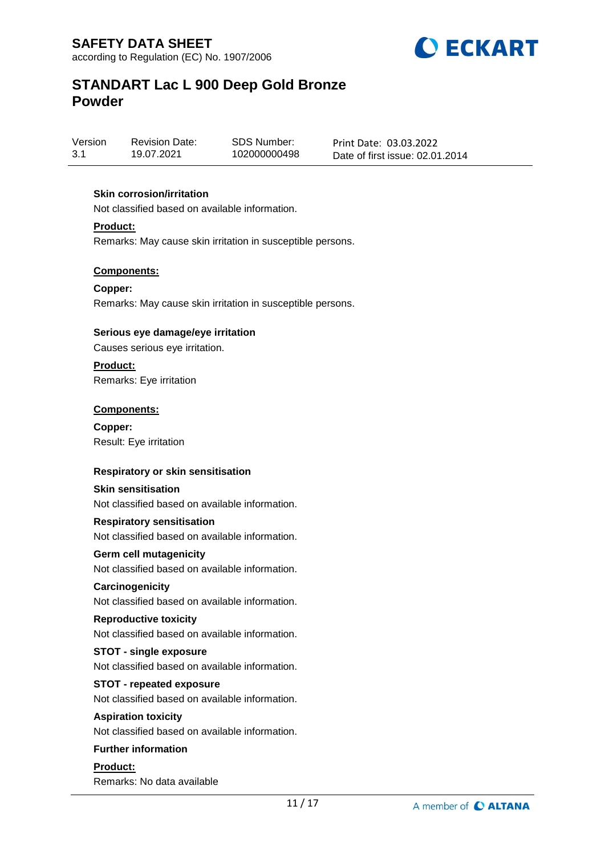

Version 3.1 Revision Date: 19.07.2021

SDS Number: 102000000498 Print Date: 03.03.2022 Date of first issue: 02.01.2014

### **Skin corrosion/irritation**

Not classified based on available information.

**Product:**

Remarks: May cause skin irritation in susceptible persons.

#### **Components:**

**Copper:** Remarks: May cause skin irritation in susceptible persons.

#### **Serious eye damage/eye irritation**

Causes serious eye irritation.

**Product:**

Remarks: Eye irritation

#### **Components:**

**Copper:** Result: Eye irritation

#### **Respiratory or skin sensitisation**

#### **Skin sensitisation**

Not classified based on available information.

#### **Respiratory sensitisation**

Not classified based on available information.

#### **Germ cell mutagenicity**

Not classified based on available information.

#### **Carcinogenicity**

Not classified based on available information.

#### **Reproductive toxicity**

Not classified based on available information.

#### **STOT - single exposure**

Not classified based on available information.

#### **STOT - repeated exposure**

Not classified based on available information.

#### **Aspiration toxicity**

Not classified based on available information.

#### **Further information**

**Product:** Remarks: No data available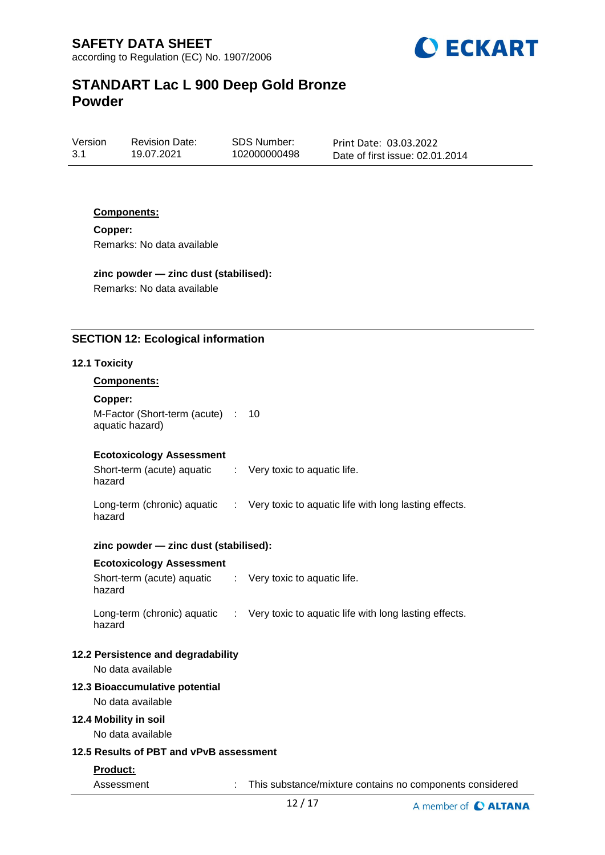

Version 3.1 Revision Date: 19.07.2021

SDS Number: 102000000498 Print Date: 03.03.2022 Date of first issue: 02.01.2014

#### **Components:**

**Copper:** Remarks: No data available

## **zinc powder — zinc dust (stabilised):**

Remarks: No data available

### **SECTION 12: Ecological information**

#### **12.1 Toxicity**

#### **Components:**

**Copper:**

hazard

M-Factor (Short-term (acute) : 10 aquatic hazard)

#### **Ecotoxicology Assessment**

Short-term (acute) aquatic : Very toxic to aquatic life.

Long-term (chronic) aquatic hazard : Very toxic to aquatic life with long lasting effects.

#### **zinc powder — zinc dust (stabilised):**

#### **Ecotoxicology Assessment**

Short-term (acute) aquatic hazard : Very toxic to aquatic life. Long-term (chronic) aquatic : Very toxic to aquatic life with long lasting effects.

hazard

#### **12.2 Persistence and degradability**

No data available

#### **12.3 Bioaccumulative potential**

No data available

#### **12.4 Mobility in soil**

No data available

### **12.5 Results of PBT and vPvB assessment**

#### **Product:**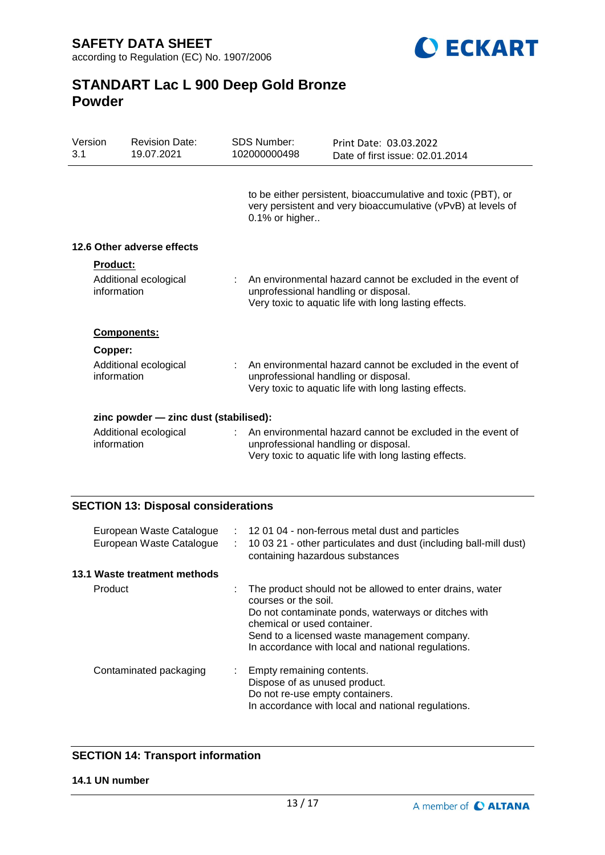

| Version<br>3.1  | <b>Revision Date:</b><br>19.07.2021   |    | <b>SDS Number:</b><br>102000000498 | Print Date: 03.03.2022<br>Date of first issue: 02.01.2014                                                                                                   |  |
|-----------------|---------------------------------------|----|------------------------------------|-------------------------------------------------------------------------------------------------------------------------------------------------------------|--|
|                 |                                       |    | 0.1% or higher                     | to be either persistent, bioaccumulative and toxic (PBT), or<br>very persistent and very bioaccumulative (vPvB) at levels of                                |  |
|                 | 12.6 Other adverse effects            |    |                                    |                                                                                                                                                             |  |
| <b>Product:</b> | Additional ecological<br>information  |    |                                    | An environmental hazard cannot be excluded in the event of<br>unprofessional handling or disposal.<br>Very toxic to aquatic life with long lasting effects. |  |
|                 | <b>Components:</b>                    |    |                                    |                                                                                                                                                             |  |
| Copper:         | Additional ecological<br>information  |    |                                    | An environmental hazard cannot be excluded in the event of<br>unprofessional handling or disposal.<br>Very toxic to aquatic life with long lasting effects. |  |
|                 | zinc powder - zinc dust (stabilised): |    |                                    |                                                                                                                                                             |  |
|                 | Additional ecological<br>information  | t. |                                    | An environmental hazard cannot be excluded in the event of<br>unprofessional handling or disposal.<br>Very toxic to aquatic life with long lasting effects. |  |

## **SECTION 13: Disposal considerations**

| European Waste Catalogue<br>European Waste Catalogue | ÷. | : 12 01 04 - non-ferrous metal dust and particles<br>10 03 21 - other particulates and dust (including ball-mill dust)<br>containing hazardous substances                                                                                                                    |
|------------------------------------------------------|----|------------------------------------------------------------------------------------------------------------------------------------------------------------------------------------------------------------------------------------------------------------------------------|
| 13.1 Waste treatment methods                         |    |                                                                                                                                                                                                                                                                              |
| Product                                              |    | The product should not be allowed to enter drains, water<br>courses or the soil.<br>Do not contaminate ponds, waterways or ditches with<br>chemical or used container.<br>Send to a licensed waste management company.<br>In accordance with local and national regulations. |
| Contaminated packaging                               | ÷. | Empty remaining contents.<br>Dispose of as unused product.<br>Do not re-use empty containers.<br>In accordance with local and national regulations.                                                                                                                          |

## **SECTION 14: Transport information**

#### **14.1 UN number**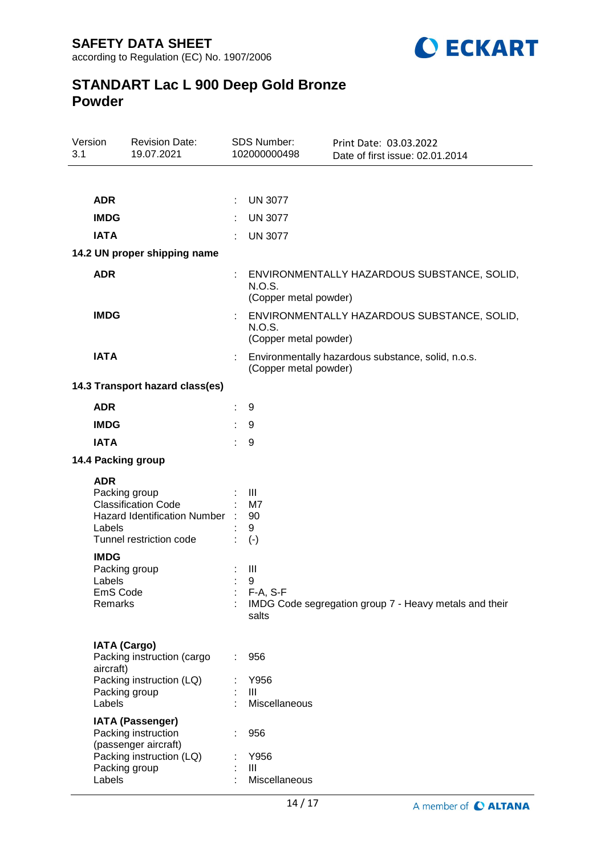

| Version<br>3.1 |                                                               | <b>Revision Date:</b><br>19.07.2021                                                                                 |   | <b>SDS Number:</b><br>102000000498           | Print Date: 03.03.2022<br>Date of first issue: 02.01.2014 |
|----------------|---------------------------------------------------------------|---------------------------------------------------------------------------------------------------------------------|---|----------------------------------------------|-----------------------------------------------------------|
|                |                                                               |                                                                                                                     |   |                                              |                                                           |
|                | <b>ADR</b>                                                    |                                                                                                                     | ÷ | <b>UN 3077</b>                               |                                                           |
|                | <b>IMDG</b>                                                   |                                                                                                                     |   | <b>UN 3077</b>                               |                                                           |
|                | <b>IATA</b>                                                   |                                                                                                                     |   | <b>UN 3077</b>                               |                                                           |
|                |                                                               | 14.2 UN proper shipping name                                                                                        |   |                                              |                                                           |
|                | <b>ADR</b>                                                    |                                                                                                                     |   | <b>N.O.S.</b><br>(Copper metal powder)       | ENVIRONMENTALLY HAZARDOUS SUBSTANCE, SOLID,               |
|                | <b>IMDG</b>                                                   |                                                                                                                     |   | N.O.S.<br>(Copper metal powder)              | ENVIRONMENTALLY HAZARDOUS SUBSTANCE, SOLID,               |
|                | <b>IATA</b>                                                   |                                                                                                                     |   | (Copper metal powder)                        | Environmentally hazardous substance, solid, n.o.s.        |
|                |                                                               | 14.3 Transport hazard class(es)                                                                                     |   |                                              |                                                           |
|                | <b>ADR</b>                                                    |                                                                                                                     |   | 9                                            |                                                           |
|                | <b>IMDG</b>                                                   |                                                                                                                     |   | 9                                            |                                                           |
|                | <b>IATA</b>                                                   |                                                                                                                     |   | 9                                            |                                                           |
|                |                                                               | 14.4 Packing group                                                                                                  |   |                                              |                                                           |
|                | <b>ADR</b><br>Labels                                          | Packing group<br><b>Classification Code</b><br>Hazard Identification Number :<br>Tunnel restriction code            |   | $\mathbf{III}$<br>M7<br>90<br>9<br>$(\cdot)$ |                                                           |
|                | <b>IMDG</b><br>Packing group<br>Labels<br>EmS Code<br>Remarks |                                                                                                                     |   | Ш<br>9<br>F-A, S-F<br>salts                  | IMDG Code segregation group 7 - Heavy metals and their    |
|                | <b>IATA (Cargo)</b><br>aircraft)<br>Labels                    | Packing instruction (cargo<br>Packing instruction (LQ)<br>Packing group                                             |   | 956<br>Y956<br>Ш<br>Miscellaneous            |                                                           |
|                | Labels                                                        | <b>IATA (Passenger)</b><br>Packing instruction<br>(passenger aircraft)<br>Packing instruction (LQ)<br>Packing group |   | 956<br>Y956<br>III<br>Miscellaneous          |                                                           |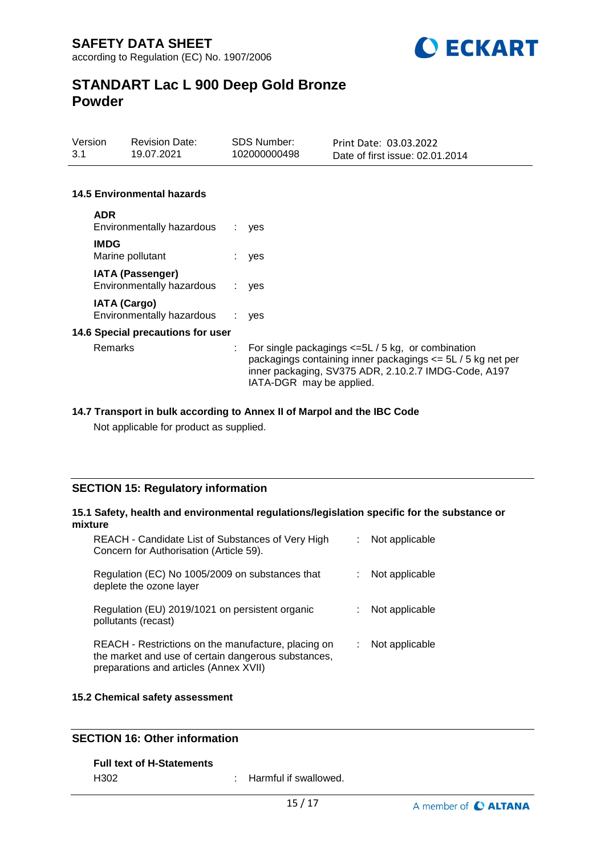

| Version | <b>Revision Date:</b> | SDS Number:  | Print Date: 03.03.2022          |
|---------|-----------------------|--------------|---------------------------------|
| 3.1     | 19.07.2021            | 102000000498 | Date of first issue: 02.01.2014 |

#### **14.5 Environmental hazards**

| <b>ADR</b><br>Environmentally hazardous              | ÷. | yes                                                                                                                                                                                                                  |
|------------------------------------------------------|----|----------------------------------------------------------------------------------------------------------------------------------------------------------------------------------------------------------------------|
| <b>IMDG</b><br>Marine pollutant                      |    | : yes                                                                                                                                                                                                                |
| <b>IATA (Passenger)</b><br>Environmentally hazardous | ÷. | yes                                                                                                                                                                                                                  |
| <b>IATA (Cargo)</b><br>Environmentally hazardous     |    | $:$ ves                                                                                                                                                                                                              |
| 14.6 Special precautions for user                    |    |                                                                                                                                                                                                                      |
| Remarks                                              |    | $\therefore$ For single packagings $\leq 5L/5$ kg, or combination<br>packagings containing inner packagings <= 5L / 5 kg net per<br>inner packaging, SV375 ADR, 2.10.2.7 IMDG-Code, A197<br>IATA-DGR may be applied. |

#### **14.7 Transport in bulk according to Annex II of Marpol and the IBC Code**

Not applicable for product as supplied.

### **SECTION 15: Regulatory information**

#### **15.1 Safety, health and environmental regulations/legislation specific for the substance or mixture**

| REACH - Candidate List of Substances of Very High<br>Concern for Authorisation (Article 59).                                                         | Not applicable |
|------------------------------------------------------------------------------------------------------------------------------------------------------|----------------|
| Regulation (EC) No 1005/2009 on substances that<br>deplete the ozone layer                                                                           | Not applicable |
| Regulation (EU) 2019/1021 on persistent organic<br>pollutants (recast)                                                                               | Not applicable |
| REACH - Restrictions on the manufacture, placing on<br>the market and use of certain dangerous substances,<br>preparations and articles (Annex XVII) | Not applicable |

#### **15.2 Chemical safety assessment**

### **SECTION 16: Other information**

#### **Full text of H-Statements**

H302 : Harmful if swallowed.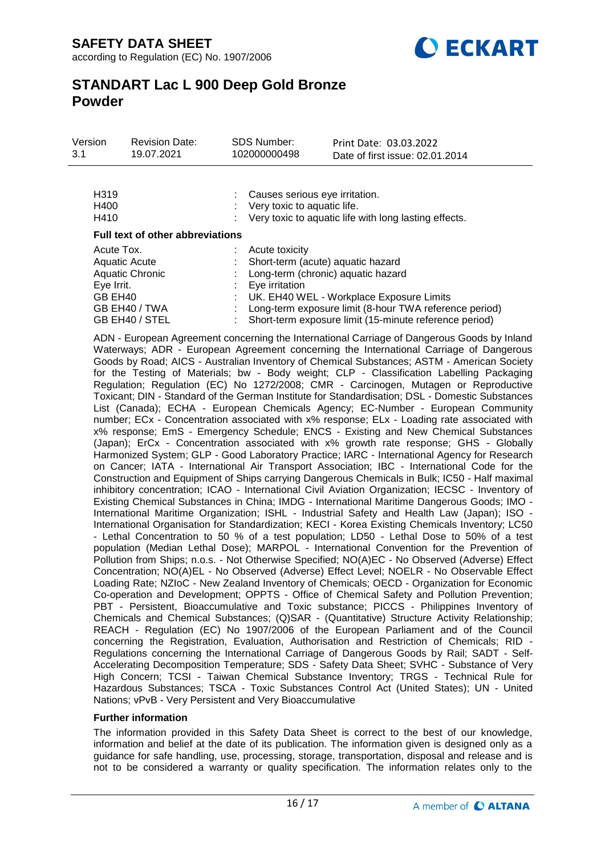

| Version<br>3.1                      | <b>Revision Date:</b><br>19.07.2021                                 | <b>SDS Number:</b><br>102000000498                            | Print Date: 03.03.2022<br>Date of first issue: 02.01.2014                                                                                                                                                                               |
|-------------------------------------|---------------------------------------------------------------------|---------------------------------------------------------------|-----------------------------------------------------------------------------------------------------------------------------------------------------------------------------------------------------------------------------------------|
| H <sub>319</sub><br>H400<br>H410    |                                                                     | Causes serious eye irritation.<br>Very toxic to aquatic life. | Very toxic to aquatic life with long lasting effects.                                                                                                                                                                                   |
|                                     | <b>Full text of other abbreviations</b>                             |                                                               |                                                                                                                                                                                                                                         |
| Acute Tox.<br>Eye Irrit.<br>GB EH40 | Aquatic Acute<br>Aquatic Chronic<br>GB EH40 / TWA<br>GB EH40 / STEL | Acute toxicity<br>Eye irritation                              | Short-term (acute) aquatic hazard<br>Long-term (chronic) aquatic hazard<br>UK. EH40 WEL - Workplace Exposure Limits<br>Long-term exposure limit (8-hour TWA reference period)<br>Short-term exposure limit (15-minute reference period) |

ADN - European Agreement concerning the International Carriage of Dangerous Goods by Inland Waterways; ADR - European Agreement concerning the International Carriage of Dangerous Goods by Road; AICS - Australian Inventory of Chemical Substances; ASTM - American Society for the Testing of Materials; bw - Body weight; CLP - Classification Labelling Packaging Regulation; Regulation (EC) No 1272/2008; CMR - Carcinogen, Mutagen or Reproductive Toxicant; DIN - Standard of the German Institute for Standardisation; DSL - Domestic Substances List (Canada); ECHA - European Chemicals Agency; EC-Number - European Community number; ECx - Concentration associated with x% response; ELx - Loading rate associated with x% response; EmS - Emergency Schedule; ENCS - Existing and New Chemical Substances (Japan); ErCx - Concentration associated with x% growth rate response; GHS - Globally Harmonized System; GLP - Good Laboratory Practice; IARC - International Agency for Research on Cancer; IATA - International Air Transport Association; IBC - International Code for the Construction and Equipment of Ships carrying Dangerous Chemicals in Bulk; IC50 - Half maximal inhibitory concentration; ICAO - International Civil Aviation Organization; IECSC - Inventory of Existing Chemical Substances in China; IMDG - International Maritime Dangerous Goods; IMO - International Maritime Organization; ISHL - Industrial Safety and Health Law (Japan); ISO - International Organisation for Standardization; KECI - Korea Existing Chemicals Inventory; LC50 - Lethal Concentration to 50 % of a test population; LD50 - Lethal Dose to 50% of a test population (Median Lethal Dose); MARPOL - International Convention for the Prevention of Pollution from Ships; n.o.s. - Not Otherwise Specified; NO(A)EC - No Observed (Adverse) Effect Concentration; NO(A)EL - No Observed (Adverse) Effect Level; NOELR - No Observable Effect Loading Rate; NZIoC - New Zealand Inventory of Chemicals; OECD - Organization for Economic Co-operation and Development; OPPTS - Office of Chemical Safety and Pollution Prevention; PBT - Persistent, Bioaccumulative and Toxic substance; PICCS - Philippines Inventory of Chemicals and Chemical Substances; (Q)SAR - (Quantitative) Structure Activity Relationship; REACH - Regulation (EC) No 1907/2006 of the European Parliament and of the Council concerning the Registration, Evaluation, Authorisation and Restriction of Chemicals; RID - Regulations concerning the International Carriage of Dangerous Goods by Rail; SADT - Self-Accelerating Decomposition Temperature; SDS - Safety Data Sheet; SVHC - Substance of Very High Concern; TCSI - Taiwan Chemical Substance Inventory; TRGS - Technical Rule for Hazardous Substances; TSCA - Toxic Substances Control Act (United States); UN - United Nations; vPvB - Very Persistent and Very Bioaccumulative

#### **Further information**

The information provided in this Safety Data Sheet is correct to the best of our knowledge, information and belief at the date of its publication. The information given is designed only as a guidance for safe handling, use, processing, storage, transportation, disposal and release and is not to be considered a warranty or quality specification. The information relates only to the